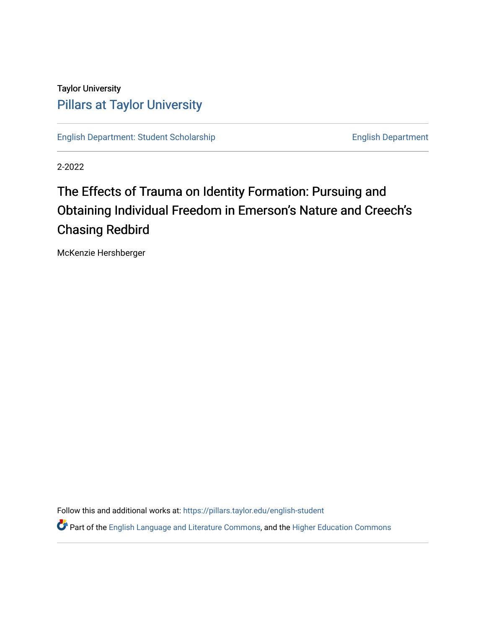### Taylor University [Pillars at Taylor University](https://pillars.taylor.edu/)

[English Department: Student Scholarship](https://pillars.taylor.edu/english-student) English Department

2-2022

# The Effects of Trauma on Identity Formation: Pursuing and Obtaining Individual Freedom in Emerson's Nature and Creech's Chasing Redbird

McKenzie Hershberger

Follow this and additional works at: [https://pillars.taylor.edu/english-student](https://pillars.taylor.edu/english-student?utm_source=pillars.taylor.edu%2Fenglish-student%2F20&utm_medium=PDF&utm_campaign=PDFCoverPages) 

Part of the [English Language and Literature Commons](http://network.bepress.com/hgg/discipline/455?utm_source=pillars.taylor.edu%2Fenglish-student%2F20&utm_medium=PDF&utm_campaign=PDFCoverPages), and the [Higher Education Commons](http://network.bepress.com/hgg/discipline/1245?utm_source=pillars.taylor.edu%2Fenglish-student%2F20&utm_medium=PDF&utm_campaign=PDFCoverPages)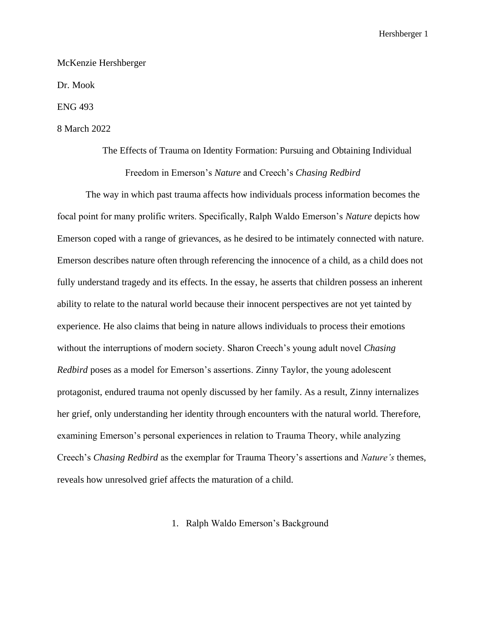McKenzie Hershberger

Dr. Mook

ENG 493

### 8 March 2022

## The Effects of Trauma on Identity Formation: Pursuing and Obtaining Individual Freedom in Emerson's *Nature* and Creech's *Chasing Redbird*

The way in which past trauma affects how individuals process information becomes the focal point for many prolific writers. Specifically, Ralph Waldo Emerson's *Nature* depicts how Emerson coped with a range of grievances, as he desired to be intimately connected with nature. Emerson describes nature often through referencing the innocence of a child, as a child does not fully understand tragedy and its effects. In the essay, he asserts that children possess an inherent ability to relate to the natural world because their innocent perspectives are not yet tainted by experience. He also claims that being in nature allows individuals to process their emotions without the interruptions of modern society. Sharon Creech's young adult novel *Chasing Redbird* poses as a model for Emerson's assertions. Zinny Taylor, the young adolescent protagonist, endured trauma not openly discussed by her family. As a result, Zinny internalizes her grief, only understanding her identity through encounters with the natural world. Therefore, examining Emerson's personal experiences in relation to Trauma Theory, while analyzing Creech's *Chasing Redbird* as the exemplar for Trauma Theory's assertions and *Nature's* themes, reveals how unresolved grief affects the maturation of a child.

1. Ralph Waldo Emerson's Background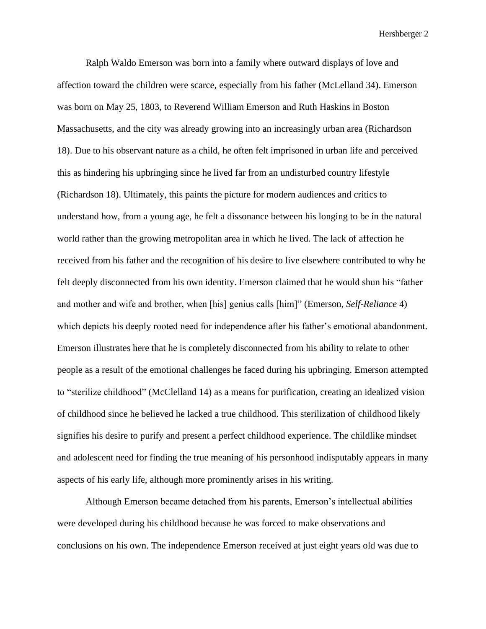Ralph Waldo Emerson was born into a family where outward displays of love and affection toward the children were scarce, especially from his father (McLelland 34). Emerson was born on May 25, 1803, to Reverend William Emerson and Ruth Haskins in Boston Massachusetts, and the city was already growing into an increasingly urban area (Richardson 18). Due to his observant nature as a child, he often felt imprisoned in urban life and perceived this as hindering his upbringing since he lived far from an undisturbed country lifestyle (Richardson 18). Ultimately, this paints the picture for modern audiences and critics to understand how, from a young age, he felt a dissonance between his longing to be in the natural world rather than the growing metropolitan area in which he lived. The lack of affection he received from his father and the recognition of his desire to live elsewhere contributed to why he felt deeply disconnected from his own identity. Emerson claimed that he would shun his "father and mother and wife and brother, when [his] genius calls [him]" (Emerson, *Self-Reliance* 4) which depicts his deeply rooted need for independence after his father's emotional abandonment. Emerson illustrates here that he is completely disconnected from his ability to relate to other people as a result of the emotional challenges he faced during his upbringing. Emerson attempted to "sterilize childhood" (McClelland 14) as a means for purification, creating an idealized vision of childhood since he believed he lacked a true childhood. This sterilization of childhood likely signifies his desire to purify and present a perfect childhood experience. The childlike mindset and adolescent need for finding the true meaning of his personhood indisputably appears in many aspects of his early life, although more prominently arises in his writing.

Although Emerson became detached from his parents, Emerson's intellectual abilities were developed during his childhood because he was forced to make observations and conclusions on his own. The independence Emerson received at just eight years old was due to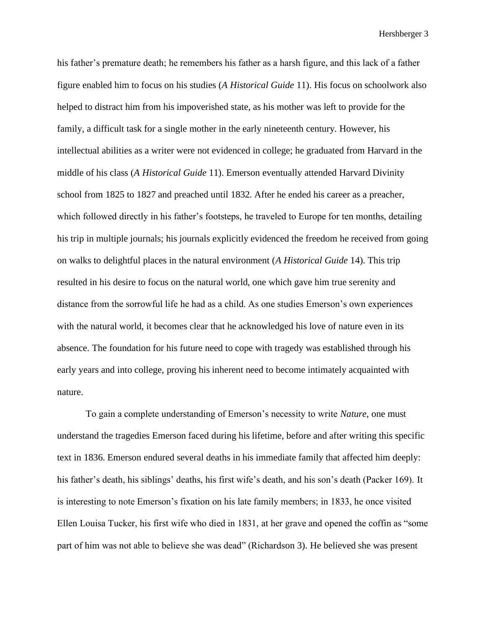his father's premature death; he remembers his father as a harsh figure, and this lack of a father figure enabled him to focus on his studies (*A Historical Guide* 11). His focus on schoolwork also helped to distract him from his impoverished state, as his mother was left to provide for the family, a difficult task for a single mother in the early nineteenth century. However, his intellectual abilities as a writer were not evidenced in college; he graduated from Harvard in the middle of his class (*A Historical Guide* 11). Emerson eventually attended Harvard Divinity school from 1825 to 1827 and preached until 1832. After he ended his career as a preacher, which followed directly in his father's footsteps, he traveled to Europe for ten months, detailing his trip in multiple journals; his journals explicitly evidenced the freedom he received from going on walks to delightful places in the natural environment (*A Historical Guide* 14). This trip resulted in his desire to focus on the natural world, one which gave him true serenity and distance from the sorrowful life he had as a child. As one studies Emerson's own experiences with the natural world, it becomes clear that he acknowledged his love of nature even in its absence. The foundation for his future need to cope with tragedy was established through his early years and into college, proving his inherent need to become intimately acquainted with nature.

To gain a complete understanding of Emerson's necessity to write *Nature*, one must understand the tragedies Emerson faced during his lifetime, before and after writing this specific text in 1836. Emerson endured several deaths in his immediate family that affected him deeply: his father's death, his siblings' deaths, his first wife's death, and his son's death (Packer 169). It is interesting to note Emerson's fixation on his late family members; in 1833, he once visited Ellen Louisa Tucker, his first wife who died in 1831, at her grave and opened the coffin as "some part of him was not able to believe she was dead" (Richardson 3). He believed she was present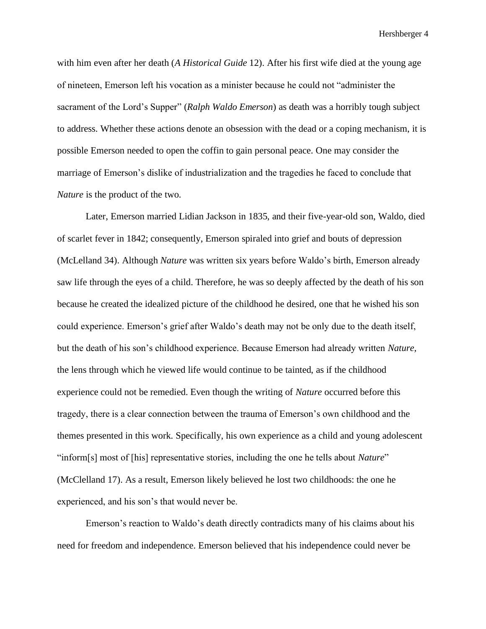with him even after her death (*A Historical Guide* 12). After his first wife died at the young age of nineteen, Emerson left his vocation as a minister because he could not "administer the sacrament of the Lord's Supper" (*Ralph Waldo Emerson*) as death was a horribly tough subject to address. Whether these actions denote an obsession with the dead or a coping mechanism, it is possible Emerson needed to open the coffin to gain personal peace. One may consider the marriage of Emerson's dislike of industrialization and the tragedies he faced to conclude that *Nature* is the product of the two.

Later, Emerson married Lidian Jackson in 1835, and their five-year-old son, Waldo, died of scarlet fever in 1842; consequently, Emerson spiraled into grief and bouts of depression (McLelland 34). Although *Nature* was written six years before Waldo's birth, Emerson already saw life through the eyes of a child. Therefore, he was so deeply affected by the death of his son because he created the idealized picture of the childhood he desired, one that he wished his son could experience. Emerson's grief after Waldo's death may not be only due to the death itself, but the death of his son's childhood experience. Because Emerson had already written *Nature,*  the lens through which he viewed life would continue to be tainted, as if the childhood experience could not be remedied. Even though the writing of *Nature* occurred before this tragedy, there is a clear connection between the trauma of Emerson's own childhood and the themes presented in this work. Specifically, his own experience as a child and young adolescent "inform[s] most of [his] representative stories, including the one he tells about *Nature*" (McClelland 17). As a result, Emerson likely believed he lost two childhoods: the one he experienced, and his son's that would never be.

Emerson's reaction to Waldo's death directly contradicts many of his claims about his need for freedom and independence. Emerson believed that his independence could never be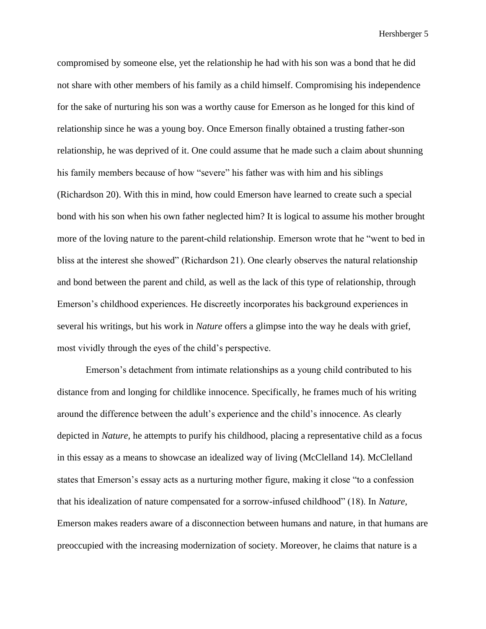compromised by someone else, yet the relationship he had with his son was a bond that he did not share with other members of his family as a child himself. Compromising his independence for the sake of nurturing his son was a worthy cause for Emerson as he longed for this kind of relationship since he was a young boy. Once Emerson finally obtained a trusting father-son relationship, he was deprived of it. One could assume that he made such a claim about shunning his family members because of how "severe" his father was with him and his siblings (Richardson 20). With this in mind, how could Emerson have learned to create such a special bond with his son when his own father neglected him? It is logical to assume his mother brought more of the loving nature to the parent-child relationship. Emerson wrote that he "went to bed in bliss at the interest she showed" (Richardson 21). One clearly observes the natural relationship and bond between the parent and child, as well as the lack of this type of relationship, through Emerson's childhood experiences. He discreetly incorporates his background experiences in several his writings, but his work in *Nature* offers a glimpse into the way he deals with grief, most vividly through the eyes of the child's perspective.

Emerson's detachment from intimate relationships as a young child contributed to his distance from and longing for childlike innocence. Specifically, he frames much of his writing around the difference between the adult's experience and the child's innocence. As clearly depicted in *Nature,* he attempts to purify his childhood, placing a representative child as a focus in this essay as a means to showcase an idealized way of living (McClelland 14). McClelland states that Emerson's essay acts as a nurturing mother figure, making it close "to a confession that his idealization of nature compensated for a sorrow-infused childhood" (18). In *Nature,*  Emerson makes readers aware of a disconnection between humans and nature, in that humans are preoccupied with the increasing modernization of society. Moreover, he claims that nature is a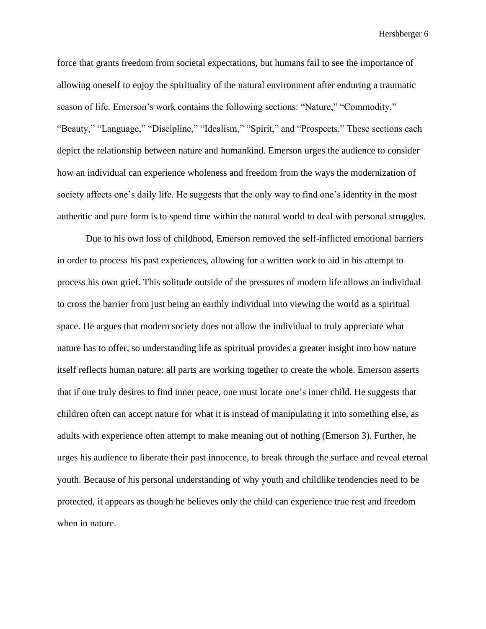force that grants freedom from societal expectations, but humans fail to see the importance of allowing oneself to enjoy the spirituality of the natural environment after enduring a traumatic season of life. Emerson's work contains the following sections: "Nature," "Commodity," "Beauty," "Language," "Discipline," "Idealism," "Spirit," and "Prospects." These sections each depict the relationship between nature and humankind. Emerson urges the audience to consider how an individual can experience wholeness and freedom from the ways the modernization of society affects one's daily life. He suggests that the only way to find one's identity in the most authentic and pure form is to spend time within the natural world to deal with personal struggles.

Due to his own loss of childhood, Emerson removed the self-inflicted emotional barriers in order to process his past experiences, allowing for a written work to aid in his attempt to process his own grief. This solitude outside of the pressures of modern life allows an individual to cross the barrier from just being an earthly individual into viewing the world as a spiritual space. He argues that modern society does not allow the individual to truly appreciate what nature has to offer, so understanding life as spiritual provides a greater insight into how nature itself reflects human nature: all parts are working together to create the whole. Emerson asserts that if one truly desires to find inner peace, one must locate one's inner child. He suggests that children often can accept nature for what it is instead of manipulating it into something else, as adults with experience often attempt to make meaning out of nothing (Emerson 3). Further, he urges his audience to liberate their past innocence, to break through the surface and reveal eternal youth. Because of his personal understanding of why youth and childlike tendencies need to be protected, it appears as though he believes only the child can experience true rest and freedom when in nature.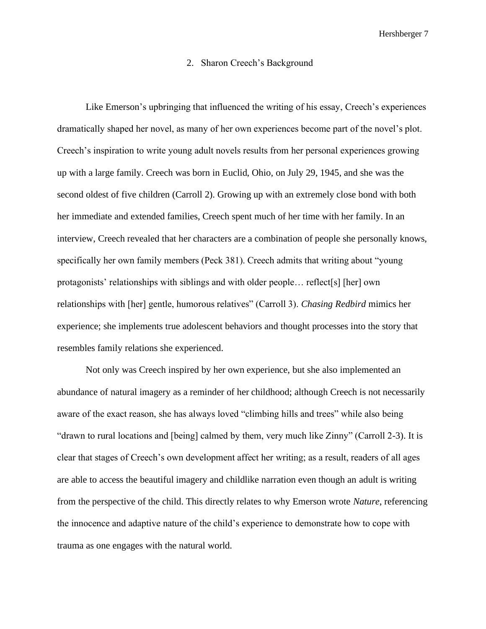### 2. Sharon Creech's Background

Like Emerson's upbringing that influenced the writing of his essay, Creech's experiences dramatically shaped her novel, as many of her own experiences become part of the novel's plot. Creech's inspiration to write young adult novels results from her personal experiences growing up with a large family. Creech was born in Euclid, Ohio, on July 29, 1945, and she was the second oldest of five children (Carroll 2). Growing up with an extremely close bond with both her immediate and extended families, Creech spent much of her time with her family. In an interview, Creech revealed that her characters are a combination of people she personally knows, specifically her own family members (Peck 381). Creech admits that writing about "young protagonists' relationships with siblings and with older people… reflect[s] [her] own relationships with [her] gentle, humorous relatives" (Carroll 3). *Chasing Redbird* mimics her experience; she implements true adolescent behaviors and thought processes into the story that resembles family relations she experienced.

Not only was Creech inspired by her own experience, but she also implemented an abundance of natural imagery as a reminder of her childhood; although Creech is not necessarily aware of the exact reason, she has always loved "climbing hills and trees" while also being "drawn to rural locations and [being] calmed by them, very much like Zinny" (Carroll 2-3). It is clear that stages of Creech's own development affect her writing; as a result, readers of all ages are able to access the beautiful imagery and childlike narration even though an adult is writing from the perspective of the child. This directly relates to why Emerson wrote *Nature*, referencing the innocence and adaptive nature of the child's experience to demonstrate how to cope with trauma as one engages with the natural world.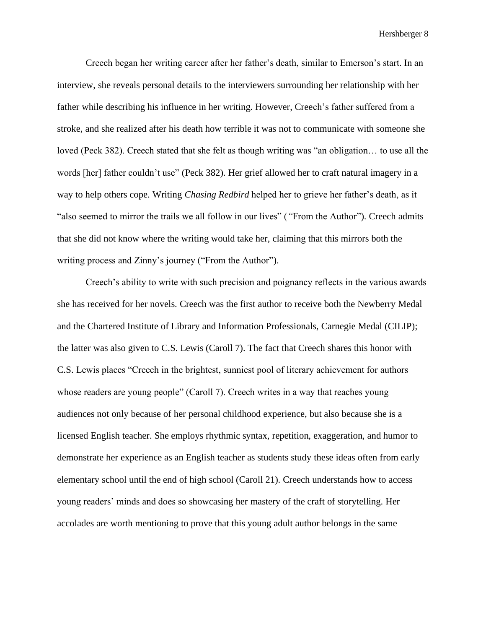Creech began her writing career after her father's death, similar to Emerson's start. In an interview, she reveals personal details to the interviewers surrounding her relationship with her father while describing his influence in her writing. However, Creech's father suffered from a stroke, and she realized after his death how terrible it was not to communicate with someone she loved (Peck 382). Creech stated that she felt as though writing was "an obligation… to use all the words [her] father couldn't use" (Peck 382). Her grief allowed her to craft natural imagery in a way to help others cope. Writing *Chasing Redbird* helped her to grieve her father's death, as it "also seemed to mirror the trails we all follow in our lives" (*"*From the Author"). Creech admits that she did not know where the writing would take her, claiming that this mirrors both the writing process and Zinny's journey ("From the Author").

Creech's ability to write with such precision and poignancy reflects in the various awards she has received for her novels. Creech was the first author to receive both the Newberry Medal and the Chartered Institute of Library and Information Professionals, Carnegie Medal (CILIP); the latter was also given to C.S. Lewis (Caroll 7). The fact that Creech shares this honor with C.S. Lewis places "Creech in the brightest, sunniest pool of literary achievement for authors whose readers are young people" (Caroll 7). Creech writes in a way that reaches young audiences not only because of her personal childhood experience, but also because she is a licensed English teacher. She employs rhythmic syntax, repetition, exaggeration, and humor to demonstrate her experience as an English teacher as students study these ideas often from early elementary school until the end of high school (Caroll 21). Creech understands how to access young readers' minds and does so showcasing her mastery of the craft of storytelling. Her accolades are worth mentioning to prove that this young adult author belongs in the same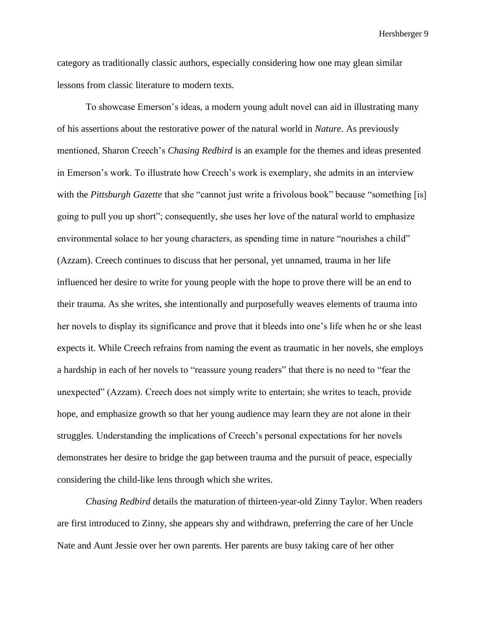category as traditionally classic authors, especially considering how one may glean similar lessons from classic literature to modern texts.

To showcase Emerson's ideas, a modern young adult novel can aid in illustrating many of his assertions about the restorative power of the natural world in *Nature*. As previously mentioned, Sharon Creech's *Chasing Redbird* is an example for the themes and ideas presented in Emerson's work*.* To illustrate how Creech's work is exemplary, she admits in an interview with the *Pittsburgh Gazette* that she "cannot just write a frivolous book" because "something [is] going to pull you up short"; consequently, she uses her love of the natural world to emphasize environmental solace to her young characters, as spending time in nature "nourishes a child" (Azzam). Creech continues to discuss that her personal, yet unnamed, trauma in her life influenced her desire to write for young people with the hope to prove there will be an end to their trauma. As she writes, she intentionally and purposefully weaves elements of trauma into her novels to display its significance and prove that it bleeds into one's life when he or she least expects it. While Creech refrains from naming the event as traumatic in her novels, she employs a hardship in each of her novels to "reassure young readers" that there is no need to "fear the unexpected" (Azzam). Creech does not simply write to entertain; she writes to teach, provide hope, and emphasize growth so that her young audience may learn they are not alone in their struggles. Understanding the implications of Creech's personal expectations for her novels demonstrates her desire to bridge the gap between trauma and the pursuit of peace, especially considering the child-like lens through which she writes.

*Chasing Redbird* details the maturation of thirteen-year-old Zinny Taylor. When readers are first introduced to Zinny, she appears shy and withdrawn, preferring the care of her Uncle Nate and Aunt Jessie over her own parents. Her parents are busy taking care of her other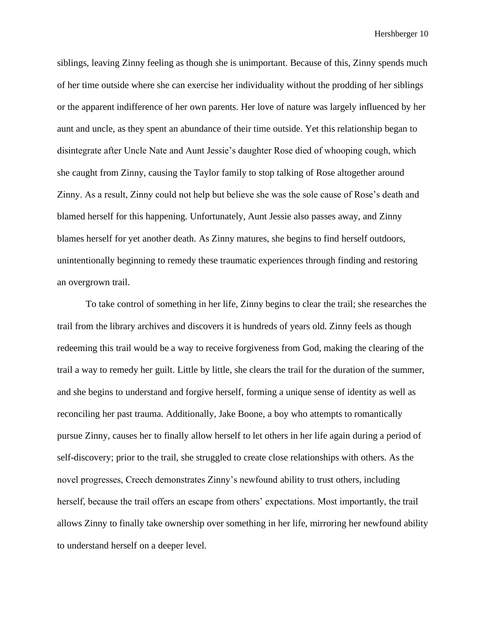siblings, leaving Zinny feeling as though she is unimportant. Because of this, Zinny spends much of her time outside where she can exercise her individuality without the prodding of her siblings or the apparent indifference of her own parents. Her love of nature was largely influenced by her aunt and uncle, as they spent an abundance of their time outside. Yet this relationship began to disintegrate after Uncle Nate and Aunt Jessie's daughter Rose died of whooping cough, which she caught from Zinny, causing the Taylor family to stop talking of Rose altogether around Zinny. As a result, Zinny could not help but believe she was the sole cause of Rose's death and blamed herself for this happening. Unfortunately, Aunt Jessie also passes away, and Zinny blames herself for yet another death. As Zinny matures, she begins to find herself outdoors, unintentionally beginning to remedy these traumatic experiences through finding and restoring an overgrown trail.

To take control of something in her life, Zinny begins to clear the trail; she researches the trail from the library archives and discovers it is hundreds of years old. Zinny feels as though redeeming this trail would be a way to receive forgiveness from God, making the clearing of the trail a way to remedy her guilt. Little by little, she clears the trail for the duration of the summer, and she begins to understand and forgive herself, forming a unique sense of identity as well as reconciling her past trauma. Additionally, Jake Boone, a boy who attempts to romantically pursue Zinny, causes her to finally allow herself to let others in her life again during a period of self-discovery; prior to the trail, she struggled to create close relationships with others. As the novel progresses, Creech demonstrates Zinny's newfound ability to trust others, including herself, because the trail offers an escape from others' expectations. Most importantly, the trail allows Zinny to finally take ownership over something in her life, mirroring her newfound ability to understand herself on a deeper level.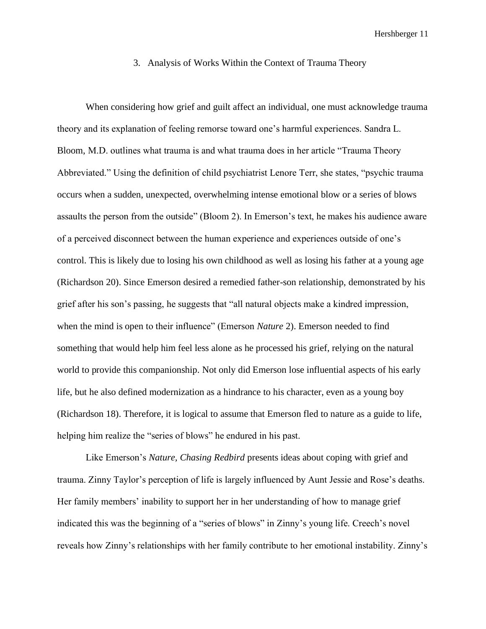### 3. Analysis of Works Within the Context of Trauma Theory

When considering how grief and guilt affect an individual, one must acknowledge trauma theory and its explanation of feeling remorse toward one's harmful experiences. Sandra L. Bloom, M.D. outlines what trauma is and what trauma does in her article "Trauma Theory Abbreviated." Using the definition of child psychiatrist Lenore Terr, she states, "psychic trauma occurs when a sudden, unexpected, overwhelming intense emotional blow or a series of blows assaults the person from the outside" (Bloom 2). In Emerson's text, he makes his audience aware of a perceived disconnect between the human experience and experiences outside of one's control. This is likely due to losing his own childhood as well as losing his father at a young age (Richardson 20). Since Emerson desired a remedied father-son relationship, demonstrated by his grief after his son's passing, he suggests that "all natural objects make a kindred impression, when the mind is open to their influence" (Emerson *Nature* 2). Emerson needed to find something that would help him feel less alone as he processed his grief, relying on the natural world to provide this companionship. Not only did Emerson lose influential aspects of his early life, but he also defined modernization as a hindrance to his character, even as a young boy (Richardson 18). Therefore, it is logical to assume that Emerson fled to nature as a guide to life, helping him realize the "series of blows" he endured in his past.

Like Emerson's *Nature, Chasing Redbird* presents ideas about coping with grief and trauma. Zinny Taylor's perception of life is largely influenced by Aunt Jessie and Rose's deaths. Her family members' inability to support her in her understanding of how to manage grief indicated this was the beginning of a "series of blows" in Zinny's young life. Creech's novel reveals how Zinny's relationships with her family contribute to her emotional instability. Zinny's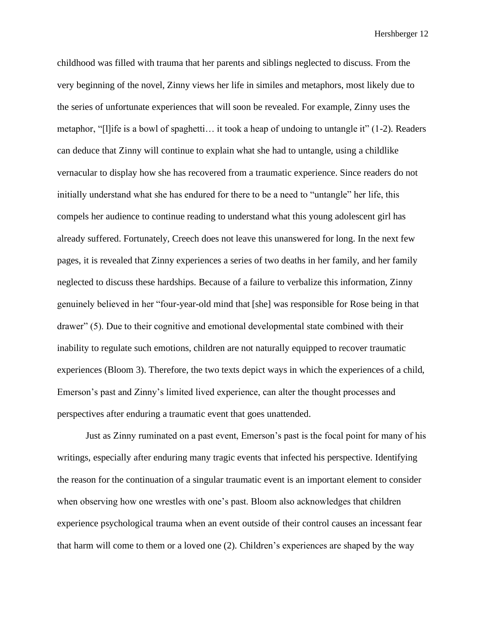childhood was filled with trauma that her parents and siblings neglected to discuss. From the very beginning of the novel, Zinny views her life in similes and metaphors, most likely due to the series of unfortunate experiences that will soon be revealed. For example, Zinny uses the metaphor, "[l]ife is a bowl of spaghetti… it took a heap of undoing to untangle it" (1-2). Readers can deduce that Zinny will continue to explain what she had to untangle, using a childlike vernacular to display how she has recovered from a traumatic experience. Since readers do not initially understand what she has endured for there to be a need to "untangle" her life, this compels her audience to continue reading to understand what this young adolescent girl has already suffered. Fortunately, Creech does not leave this unanswered for long. In the next few pages, it is revealed that Zinny experiences a series of two deaths in her family, and her family neglected to discuss these hardships. Because of a failure to verbalize this information, Zinny genuinely believed in her "four-year-old mind that [she] was responsible for Rose being in that drawer" (5). Due to their cognitive and emotional developmental state combined with their inability to regulate such emotions, children are not naturally equipped to recover traumatic experiences (Bloom 3). Therefore, the two texts depict ways in which the experiences of a child, Emerson's past and Zinny's limited lived experience, can alter the thought processes and perspectives after enduring a traumatic event that goes unattended.

Just as Zinny ruminated on a past event, Emerson's past is the focal point for many of his writings, especially after enduring many tragic events that infected his perspective. Identifying the reason for the continuation of a singular traumatic event is an important element to consider when observing how one wrestles with one's past. Bloom also acknowledges that children experience psychological trauma when an event outside of their control causes an incessant fear that harm will come to them or a loved one (2). Children's experiences are shaped by the way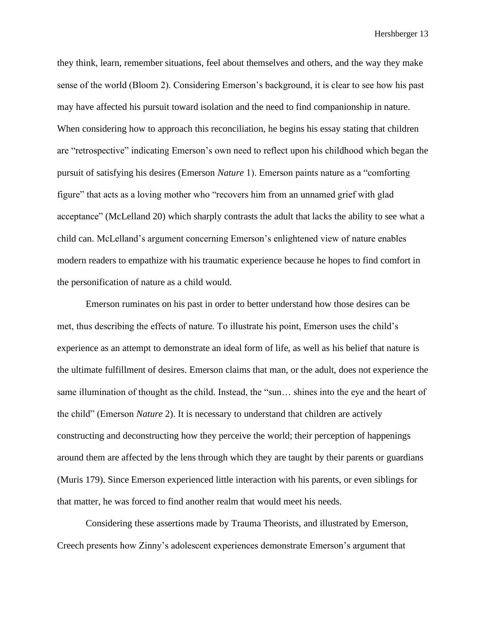they think, learn, remember situations, feel about themselves and others, and the way they make sense of the world (Bloom 2). Considering Emerson's background, it is clear to see how his past may have affected his pursuit toward isolation and the need to find companionship in nature. When considering how to approach this reconciliation, he begins his essay stating that children are "retrospective" indicating Emerson's own need to reflect upon his childhood which began the pursuit of satisfying his desires (Emerson *Nature* 1). Emerson paints nature as a "comforting figure" that acts as a loving mother who "recovers him from an unnamed grief with glad acceptance" (McLelland 20) which sharply contrasts the adult that lacks the ability to see what a child can. McLelland's argument concerning Emerson's enlightened view of nature enables modern readers to empathize with his traumatic experience because he hopes to find comfort in the personification of nature as a child would.

Emerson ruminates on his past in order to better understand how those desires can be met, thus describing the effects of nature. To illustrate his point, Emerson uses the child's experience as an attempt to demonstrate an ideal form of life, as well as his belief that nature is the ultimate fulfillment of desires. Emerson claims that man, or the adult, does not experience the same illumination of thought as the child. Instead, the "sun… shines into the eye and the heart of the child" (Emerson *Nature* 2). It is necessary to understand that children are actively constructing and deconstructing how they perceive the world; their perception of happenings around them are affected by the lens through which they are taught by their parents or guardians (Muris 179). Since Emerson experienced little interaction with his parents, or even siblings for that matter, he was forced to find another realm that would meet his needs.

Considering these assertions made by Trauma Theorists, and illustrated by Emerson, Creech presents how Zinny's adolescent experiences demonstrate Emerson's argument that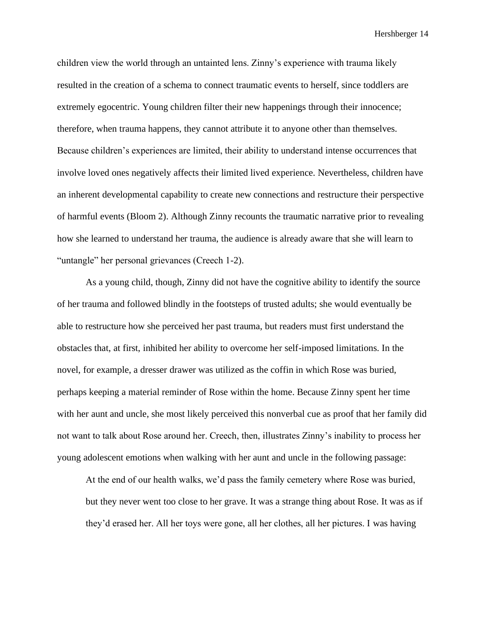children view the world through an untainted lens. Zinny's experience with trauma likely resulted in the creation of a schema to connect traumatic events to herself, since toddlers are extremely egocentric. Young children filter their new happenings through their innocence; therefore, when trauma happens, they cannot attribute it to anyone other than themselves. Because children's experiences are limited, their ability to understand intense occurrences that involve loved ones negatively affects their limited lived experience. Nevertheless, children have an inherent developmental capability to create new connections and restructure their perspective of harmful events (Bloom 2). Although Zinny recounts the traumatic narrative prior to revealing how she learned to understand her trauma, the audience is already aware that she will learn to "untangle" her personal grievances (Creech 1-2).

As a young child, though, Zinny did not have the cognitive ability to identify the source of her trauma and followed blindly in the footsteps of trusted adults; she would eventually be able to restructure how she perceived her past trauma, but readers must first understand the obstacles that, at first, inhibited her ability to overcome her self-imposed limitations. In the novel, for example, a dresser drawer was utilized as the coffin in which Rose was buried, perhaps keeping a material reminder of Rose within the home. Because Zinny spent her time with her aunt and uncle, she most likely perceived this nonverbal cue as proof that her family did not want to talk about Rose around her. Creech, then, illustrates Zinny's inability to process her young adolescent emotions when walking with her aunt and uncle in the following passage:

At the end of our health walks, we'd pass the family cemetery where Rose was buried, but they never went too close to her grave. It was a strange thing about Rose. It was as if they'd erased her. All her toys were gone, all her clothes, all her pictures. I was having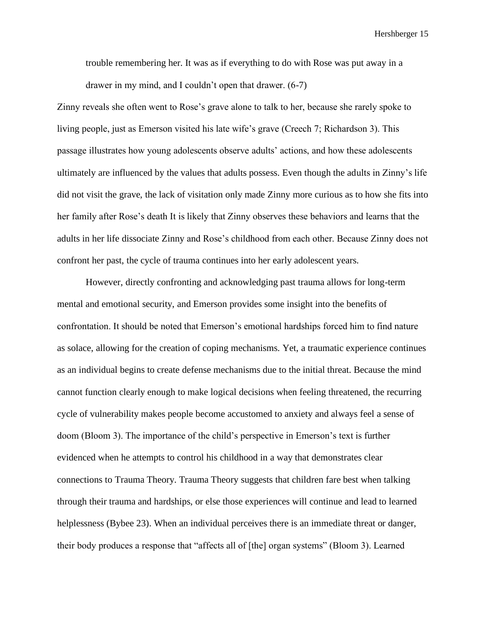trouble remembering her. It was as if everything to do with Rose was put away in a drawer in my mind, and I couldn't open that drawer. (6-7)

Zinny reveals she often went to Rose's grave alone to talk to her, because she rarely spoke to living people, just as Emerson visited his late wife's grave (Creech 7; Richardson 3). This passage illustrates how young adolescents observe adults' actions, and how these adolescents ultimately are influenced by the values that adults possess. Even though the adults in Zinny's life did not visit the grave, the lack of visitation only made Zinny more curious as to how she fits into her family after Rose's death It is likely that Zinny observes these behaviors and learns that the adults in her life dissociate Zinny and Rose's childhood from each other. Because Zinny does not confront her past, the cycle of trauma continues into her early adolescent years.

However, directly confronting and acknowledging past trauma allows for long-term mental and emotional security, and Emerson provides some insight into the benefits of confrontation. It should be noted that Emerson's emotional hardships forced him to find nature as solace, allowing for the creation of coping mechanisms. Yet, a traumatic experience continues as an individual begins to create defense mechanisms due to the initial threat. Because the mind cannot function clearly enough to make logical decisions when feeling threatened, the recurring cycle of vulnerability makes people become accustomed to anxiety and always feel a sense of doom (Bloom 3). The importance of the child's perspective in Emerson's text is further evidenced when he attempts to control his childhood in a way that demonstrates clear connections to Trauma Theory. Trauma Theory suggests that children fare best when talking through their trauma and hardships, or else those experiences will continue and lead to learned helplessness (Bybee 23). When an individual perceives there is an immediate threat or danger, their body produces a response that "affects all of [the] organ systems" (Bloom 3). Learned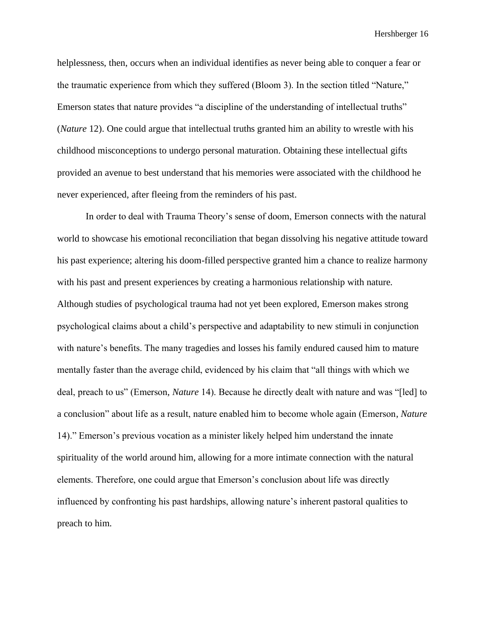helplessness, then, occurs when an individual identifies as never being able to conquer a fear or the traumatic experience from which they suffered (Bloom 3). In the section titled "Nature," Emerson states that nature provides "a discipline of the understanding of intellectual truths" (*Nature* 12). One could argue that intellectual truths granted him an ability to wrestle with his childhood misconceptions to undergo personal maturation. Obtaining these intellectual gifts provided an avenue to best understand that his memories were associated with the childhood he never experienced, after fleeing from the reminders of his past.

In order to deal with Trauma Theory's sense of doom, Emerson connects with the natural world to showcase his emotional reconciliation that began dissolving his negative attitude toward his past experience; altering his doom-filled perspective granted him a chance to realize harmony with his past and present experiences by creating a harmonious relationship with nature. Although studies of psychological trauma had not yet been explored, Emerson makes strong psychological claims about a child's perspective and adaptability to new stimuli in conjunction with nature's benefits. The many tragedies and losses his family endured caused him to mature mentally faster than the average child, evidenced by his claim that "all things with which we deal, preach to us" (Emerson, *Nature* 14). Because he directly dealt with nature and was "[led] to a conclusion" about life as a result, nature enabled him to become whole again (Emerson, *Nature*  14)." Emerson's previous vocation as a minister likely helped him understand the innate spirituality of the world around him, allowing for a more intimate connection with the natural elements. Therefore, one could argue that Emerson's conclusion about life was directly influenced by confronting his past hardships, allowing nature's inherent pastoral qualities to preach to him.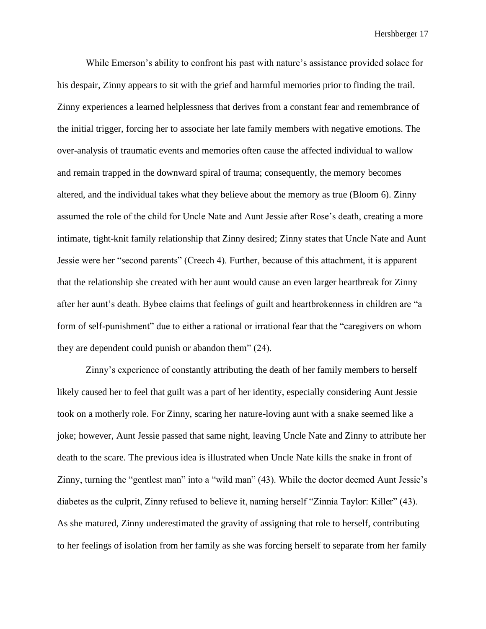While Emerson's ability to confront his past with nature's assistance provided solace for his despair, Zinny appears to sit with the grief and harmful memories prior to finding the trail. Zinny experiences a learned helplessness that derives from a constant fear and remembrance of the initial trigger, forcing her to associate her late family members with negative emotions. The over-analysis of traumatic events and memories often cause the affected individual to wallow and remain trapped in the downward spiral of trauma; consequently, the memory becomes altered, and the individual takes what they believe about the memory as true (Bloom 6). Zinny assumed the role of the child for Uncle Nate and Aunt Jessie after Rose's death, creating a more intimate, tight-knit family relationship that Zinny desired; Zinny states that Uncle Nate and Aunt Jessie were her "second parents" (Creech 4). Further, because of this attachment, it is apparent that the relationship she created with her aunt would cause an even larger heartbreak for Zinny after her aunt's death. Bybee claims that feelings of guilt and heartbrokenness in children are "a form of self-punishment" due to either a rational or irrational fear that the "caregivers on whom they are dependent could punish or abandon them" (24).

Zinny's experience of constantly attributing the death of her family members to herself likely caused her to feel that guilt was a part of her identity, especially considering Aunt Jessie took on a motherly role. For Zinny, scaring her nature-loving aunt with a snake seemed like a joke; however, Aunt Jessie passed that same night, leaving Uncle Nate and Zinny to attribute her death to the scare. The previous idea is illustrated when Uncle Nate kills the snake in front of Zinny, turning the "gentlest man" into a "wild man" (43). While the doctor deemed Aunt Jessie's diabetes as the culprit, Zinny refused to believe it, naming herself "Zinnia Taylor: Killer" (43). As she matured, Zinny underestimated the gravity of assigning that role to herself, contributing to her feelings of isolation from her family as she was forcing herself to separate from her family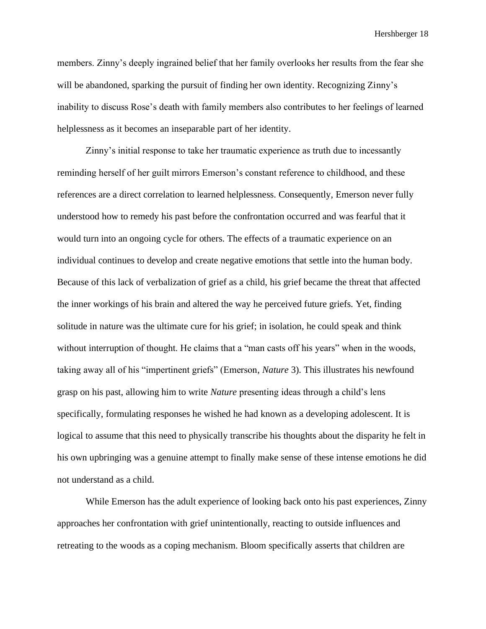members. Zinny's deeply ingrained belief that her family overlooks her results from the fear she will be abandoned, sparking the pursuit of finding her own identity. Recognizing Zinny's inability to discuss Rose's death with family members also contributes to her feelings of learned helplessness as it becomes an inseparable part of her identity.

Zinny's initial response to take her traumatic experience as truth due to incessantly reminding herself of her guilt mirrors Emerson's constant reference to childhood, and these references are a direct correlation to learned helplessness. Consequently, Emerson never fully understood how to remedy his past before the confrontation occurred and was fearful that it would turn into an ongoing cycle for others. The effects of a traumatic experience on an individual continues to develop and create negative emotions that settle into the human body. Because of this lack of verbalization of grief as a child, his grief became the threat that affected the inner workings of his brain and altered the way he perceived future griefs. Yet, finding solitude in nature was the ultimate cure for his grief; in isolation, he could speak and think without interruption of thought. He claims that a "man casts off his years" when in the woods, taking away all of his "impertinent griefs" (Emerson, *Nature* 3). This illustrates his newfound grasp on his past, allowing him to write *Nature* presenting ideas through a child's lens specifically, formulating responses he wished he had known as a developing adolescent. It is logical to assume that this need to physically transcribe his thoughts about the disparity he felt in his own upbringing was a genuine attempt to finally make sense of these intense emotions he did not understand as a child.

While Emerson has the adult experience of looking back onto his past experiences, Zinny approaches her confrontation with grief unintentionally, reacting to outside influences and retreating to the woods as a coping mechanism. Bloom specifically asserts that children are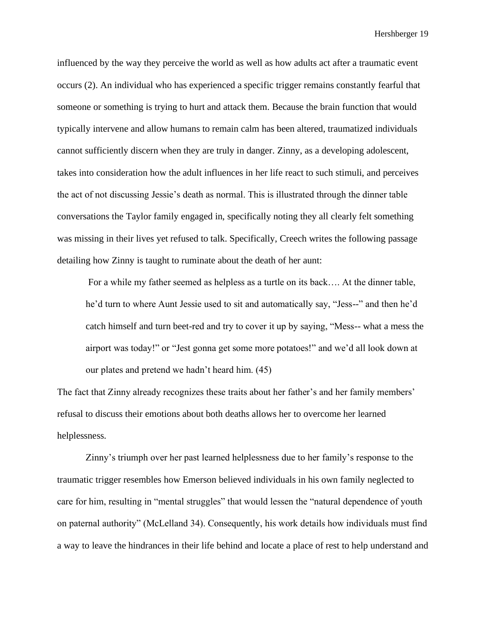influenced by the way they perceive the world as well as how adults act after a traumatic event occurs (2). An individual who has experienced a specific trigger remains constantly fearful that someone or something is trying to hurt and attack them. Because the brain function that would typically intervene and allow humans to remain calm has been altered, traumatized individuals cannot sufficiently discern when they are truly in danger. Zinny, as a developing adolescent, takes into consideration how the adult influences in her life react to such stimuli, and perceives the act of not discussing Jessie's death as normal. This is illustrated through the dinner table conversations the Taylor family engaged in, specifically noting they all clearly felt something was missing in their lives yet refused to talk. Specifically, Creech writes the following passage detailing how Zinny is taught to ruminate about the death of her aunt:

For a while my father seemed as helpless as a turtle on its back…. At the dinner table, he'd turn to where Aunt Jessie used to sit and automatically say, "Jess--" and then he'd catch himself and turn beet-red and try to cover it up by saying, "Mess-- what a mess the airport was today!" or "Jest gonna get some more potatoes!" and we'd all look down at our plates and pretend we hadn't heard him. (45)

The fact that Zinny already recognizes these traits about her father's and her family members' refusal to discuss their emotions about both deaths allows her to overcome her learned helplessness.

Zinny's triumph over her past learned helplessness due to her family's response to the traumatic trigger resembles how Emerson believed individuals in his own family neglected to care for him, resulting in "mental struggles" that would lessen the "natural dependence of youth on paternal authority" (McLelland 34). Consequently, his work details how individuals must find a way to leave the hindrances in their life behind and locate a place of rest to help understand and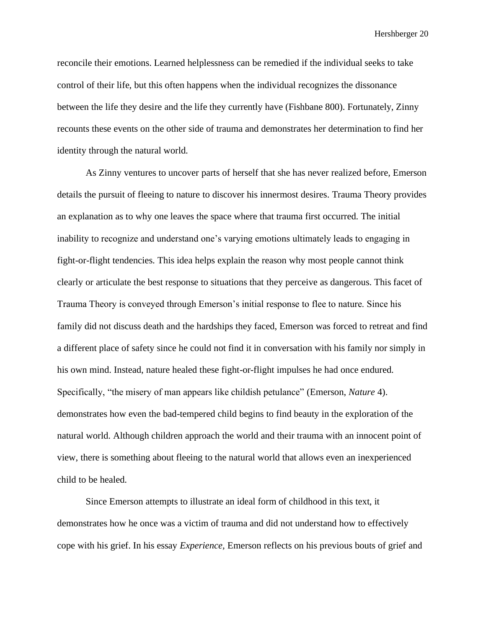reconcile their emotions. Learned helplessness can be remedied if the individual seeks to take control of their life, but this often happens when the individual recognizes the dissonance between the life they desire and the life they currently have (Fishbane 800). Fortunately, Zinny recounts these events on the other side of trauma and demonstrates her determination to find her identity through the natural world.

As Zinny ventures to uncover parts of herself that she has never realized before, Emerson details the pursuit of fleeing to nature to discover his innermost desires. Trauma Theory provides an explanation as to why one leaves the space where that trauma first occurred. The initial inability to recognize and understand one's varying emotions ultimately leads to engaging in fight-or-flight tendencies. This idea helps explain the reason why most people cannot think clearly or articulate the best response to situations that they perceive as dangerous. This facet of Trauma Theory is conveyed through Emerson's initial response to flee to nature. Since his family did not discuss death and the hardships they faced, Emerson was forced to retreat and find a different place of safety since he could not find it in conversation with his family nor simply in his own mind. Instead, nature healed these fight-or-flight impulses he had once endured. Specifically, "the misery of man appears like childish petulance" (Emerson, *Nature* 4). demonstrates how even the bad-tempered child begins to find beauty in the exploration of the natural world. Although children approach the world and their trauma with an innocent point of view, there is something about fleeing to the natural world that allows even an inexperienced child to be healed.

Since Emerson attempts to illustrate an ideal form of childhood in this text, it demonstrates how he once was a victim of trauma and did not understand how to effectively cope with his grief. In his essay *Experience,* Emerson reflects on his previous bouts of grief and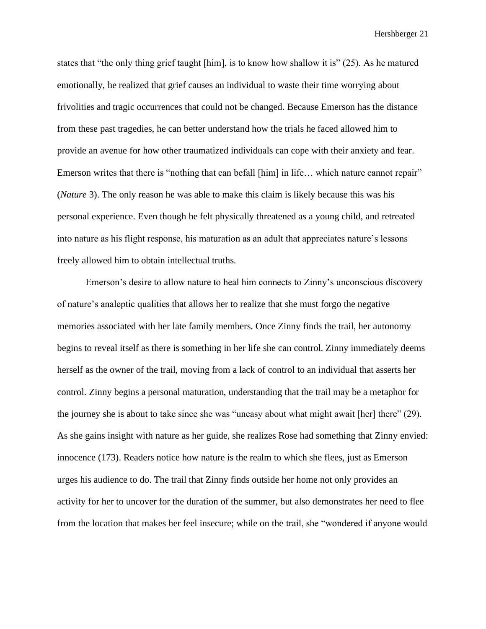states that "the only thing grief taught [him], is to know how shallow it is" (25). As he matured emotionally, he realized that grief causes an individual to waste their time worrying about frivolities and tragic occurrences that could not be changed. Because Emerson has the distance from these past tragedies, he can better understand how the trials he faced allowed him to provide an avenue for how other traumatized individuals can cope with their anxiety and fear. Emerson writes that there is "nothing that can befall [him] in life... which nature cannot repair" (*Nature* 3). The only reason he was able to make this claim is likely because this was his personal experience. Even though he felt physically threatened as a young child, and retreated into nature as his flight response, his maturation as an adult that appreciates nature's lessons freely allowed him to obtain intellectual truths.

Emerson's desire to allow nature to heal him connects to Zinny's unconscious discovery of nature's analeptic qualities that allows her to realize that she must forgo the negative memories associated with her late family members. Once Zinny finds the trail, her autonomy begins to reveal itself as there is something in her life she can control. Zinny immediately deems herself as the owner of the trail, moving from a lack of control to an individual that asserts her control. Zinny begins a personal maturation, understanding that the trail may be a metaphor for the journey she is about to take since she was "uneasy about what might await [her] there" (29). As she gains insight with nature as her guide, she realizes Rose had something that Zinny envied: innocence (173). Readers notice how nature is the realm to which she flees, just as Emerson urges his audience to do. The trail that Zinny finds outside her home not only provides an activity for her to uncover for the duration of the summer, but also demonstrates her need to flee from the location that makes her feel insecure; while on the trail, she "wondered if anyone would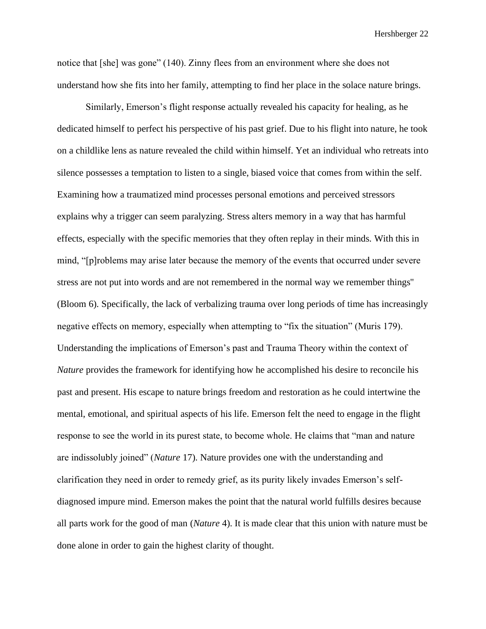notice that [she] was gone" (140). Zinny flees from an environment where she does not understand how she fits into her family, attempting to find her place in the solace nature brings.

Similarly, Emerson's flight response actually revealed his capacity for healing, as he dedicated himself to perfect his perspective of his past grief. Due to his flight into nature, he took on a childlike lens as nature revealed the child within himself. Yet an individual who retreats into silence possesses a temptation to listen to a single, biased voice that comes from within the self. Examining how a traumatized mind processes personal emotions and perceived stressors explains why a trigger can seem paralyzing. Stress alters memory in a way that has harmful effects, especially with the specific memories that they often replay in their minds. With this in mind, "[p]roblems may arise later because the memory of the events that occurred under severe stress are not put into words and are not remembered in the normal way we remember things'' (Bloom 6). Specifically, the lack of verbalizing trauma over long periods of time has increasingly negative effects on memory, especially when attempting to "fix the situation" (Muris 179). Understanding the implications of Emerson's past and Trauma Theory within the context of *Nature* provides the framework for identifying how he accomplished his desire to reconcile his past and present. His escape to nature brings freedom and restoration as he could intertwine the mental, emotional, and spiritual aspects of his life. Emerson felt the need to engage in the flight response to see the world in its purest state, to become whole. He claims that "man and nature are indissolubly joined" (*Nature* 17). Nature provides one with the understanding and clarification they need in order to remedy grief, as its purity likely invades Emerson's selfdiagnosed impure mind. Emerson makes the point that the natural world fulfills desires because all parts work for the good of man (*Nature* 4). It is made clear that this union with nature must be done alone in order to gain the highest clarity of thought.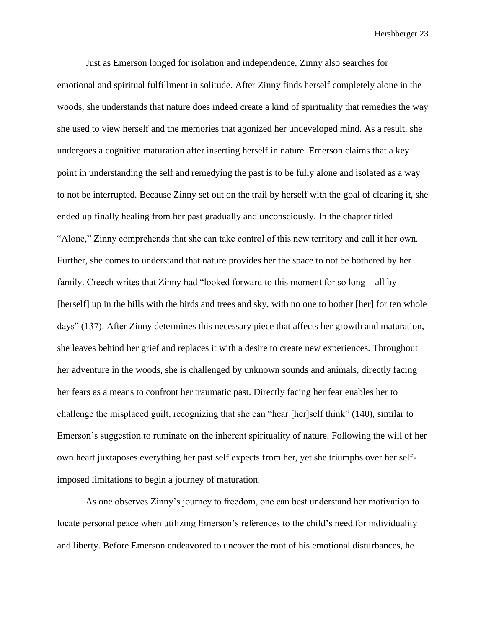Just as Emerson longed for isolation and independence, Zinny also searches for emotional and spiritual fulfillment in solitude. After Zinny finds herself completely alone in the woods, she understands that nature does indeed create a kind of spirituality that remedies the way she used to view herself and the memories that agonized her undeveloped mind. As a result, she undergoes a cognitive maturation after inserting herself in nature. Emerson claims that a key point in understanding the self and remedying the past is to be fully alone and isolated as a way to not be interrupted. Because Zinny set out on the trail by herself with the goal of clearing it, she ended up finally healing from her past gradually and unconsciously. In the chapter titled "Alone," Zinny comprehends that she can take control of this new territory and call it her own. Further, she comes to understand that nature provides her the space to not be bothered by her family. Creech writes that Zinny had "looked forward to this moment for so long—all by [herself] up in the hills with the birds and trees and sky, with no one to bother [her] for ten whole days" (137). After Zinny determines this necessary piece that affects her growth and maturation, she leaves behind her grief and replaces it with a desire to create new experiences. Throughout her adventure in the woods, she is challenged by unknown sounds and animals, directly facing her fears as a means to confront her traumatic past. Directly facing her fear enables her to challenge the misplaced guilt, recognizing that she can "hear [her]self think" (140), similar to Emerson's suggestion to ruminate on the inherent spirituality of nature. Following the will of her own heart juxtaposes everything her past self expects from her, yet she triumphs over her selfimposed limitations to begin a journey of maturation.

As one observes Zinny's journey to freedom, one can best understand her motivation to locate personal peace when utilizing Emerson's references to the child's need for individuality and liberty. Before Emerson endeavored to uncover the root of his emotional disturbances, he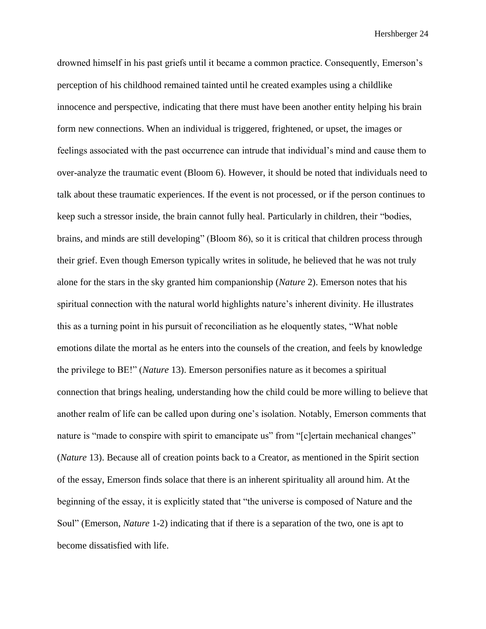drowned himself in his past griefs until it became a common practice. Consequently, Emerson's perception of his childhood remained tainted until he created examples using a childlike innocence and perspective, indicating that there must have been another entity helping his brain form new connections. When an individual is triggered, frightened, or upset, the images or feelings associated with the past occurrence can intrude that individual's mind and cause them to over-analyze the traumatic event (Bloom 6). However, it should be noted that individuals need to talk about these traumatic experiences. If the event is not processed, or if the person continues to keep such a stressor inside, the brain cannot fully heal. Particularly in children, their "bodies, brains, and minds are still developing" (Bloom 86), so it is critical that children process through their grief. Even though Emerson typically writes in solitude, he believed that he was not truly alone for the stars in the sky granted him companionship (*Nature* 2). Emerson notes that his spiritual connection with the natural world highlights nature's inherent divinity. He illustrates this as a turning point in his pursuit of reconciliation as he eloquently states, "What noble emotions dilate the mortal as he enters into the counsels of the creation, and feels by knowledge the privilege to BE!" (*Nature* 13). Emerson personifies nature as it becomes a spiritual connection that brings healing, understanding how the child could be more willing to believe that another realm of life can be called upon during one's isolation. Notably, Emerson comments that nature is "made to conspire with spirit to emancipate us" from "[c]ertain mechanical changes" (*Nature* 13). Because all of creation points back to a Creator, as mentioned in the Spirit section of the essay, Emerson finds solace that there is an inherent spirituality all around him. At the beginning of the essay, it is explicitly stated that "the universe is composed of Nature and the Soul" (Emerson, *Nature* 1-2) indicating that if there is a separation of the two, one is apt to become dissatisfied with life.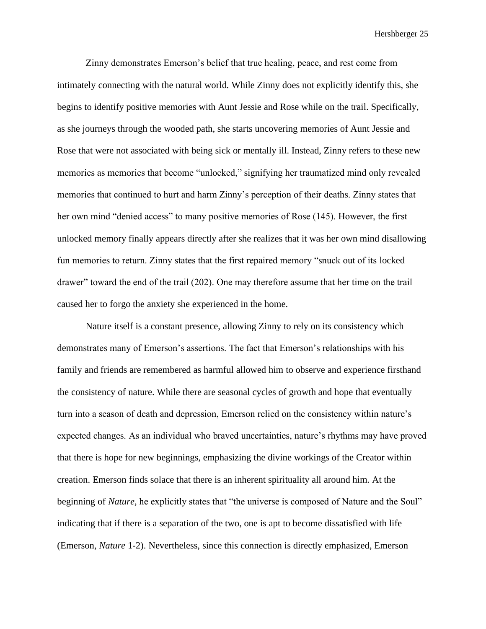Zinny demonstrates Emerson's belief that true healing, peace, and rest come from intimately connecting with the natural world. While Zinny does not explicitly identify this, she begins to identify positive memories with Aunt Jessie and Rose while on the trail. Specifically, as she journeys through the wooded path, she starts uncovering memories of Aunt Jessie and Rose that were not associated with being sick or mentally ill. Instead, Zinny refers to these new memories as memories that become "unlocked," signifying her traumatized mind only revealed memories that continued to hurt and harm Zinny's perception of their deaths. Zinny states that her own mind "denied access" to many positive memories of Rose (145). However, the first unlocked memory finally appears directly after she realizes that it was her own mind disallowing fun memories to return. Zinny states that the first repaired memory "snuck out of its locked drawer" toward the end of the trail (202). One may therefore assume that her time on the trail caused her to forgo the anxiety she experienced in the home.

Nature itself is a constant presence, allowing Zinny to rely on its consistency which demonstrates many of Emerson's assertions. The fact that Emerson's relationships with his family and friends are remembered as harmful allowed him to observe and experience firsthand the consistency of nature. While there are seasonal cycles of growth and hope that eventually turn into a season of death and depression, Emerson relied on the consistency within nature's expected changes. As an individual who braved uncertainties, nature's rhythms may have proved that there is hope for new beginnings, emphasizing the divine workings of the Creator within creation. Emerson finds solace that there is an inherent spirituality all around him. At the beginning of *Nature,* he explicitly states that "the universe is composed of Nature and the Soul" indicating that if there is a separation of the two, one is apt to become dissatisfied with life (Emerson, *Nature* 1-2). Nevertheless, since this connection is directly emphasized, Emerson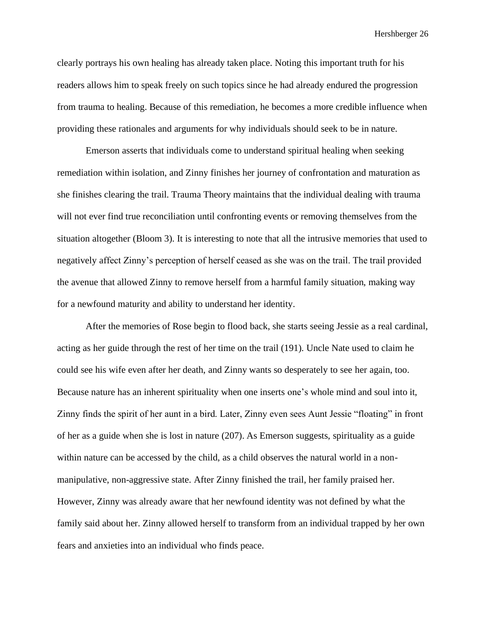clearly portrays his own healing has already taken place. Noting this important truth for his readers allows him to speak freely on such topics since he had already endured the progression from trauma to healing. Because of this remediation, he becomes a more credible influence when providing these rationales and arguments for why individuals should seek to be in nature.

Emerson asserts that individuals come to understand spiritual healing when seeking remediation within isolation, and Zinny finishes her journey of confrontation and maturation as she finishes clearing the trail. Trauma Theory maintains that the individual dealing with trauma will not ever find true reconciliation until confronting events or removing themselves from the situation altogether (Bloom 3). It is interesting to note that all the intrusive memories that used to negatively affect Zinny's perception of herself ceased as she was on the trail. The trail provided the avenue that allowed Zinny to remove herself from a harmful family situation, making way for a newfound maturity and ability to understand her identity.

After the memories of Rose begin to flood back, she starts seeing Jessie as a real cardinal, acting as her guide through the rest of her time on the trail (191). Uncle Nate used to claim he could see his wife even after her death, and Zinny wants so desperately to see her again, too. Because nature has an inherent spirituality when one inserts one's whole mind and soul into it, Zinny finds the spirit of her aunt in a bird. Later, Zinny even sees Aunt Jessie "floating" in front of her as a guide when she is lost in nature (207). As Emerson suggests, spirituality as a guide within nature can be accessed by the child, as a child observes the natural world in a nonmanipulative, non-aggressive state. After Zinny finished the trail, her family praised her. However, Zinny was already aware that her newfound identity was not defined by what the family said about her. Zinny allowed herself to transform from an individual trapped by her own fears and anxieties into an individual who finds peace.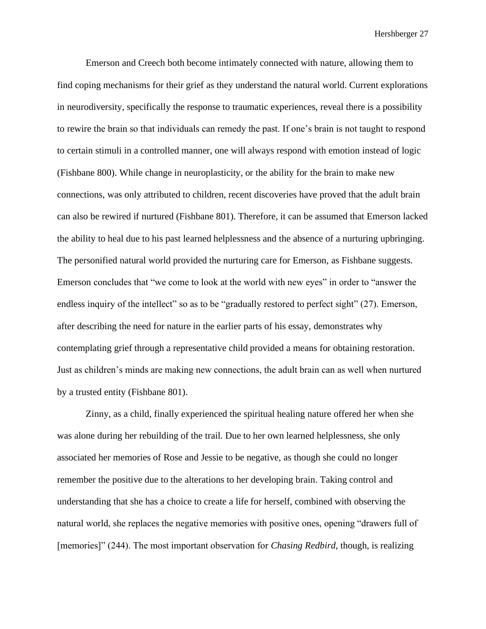Emerson and Creech both become intimately connected with nature, allowing them to find coping mechanisms for their grief as they understand the natural world. Current explorations in neurodiversity, specifically the response to traumatic experiences, reveal there is a possibility to rewire the brain so that individuals can remedy the past. If one's brain is not taught to respond to certain stimuli in a controlled manner, one will always respond with emotion instead of logic (Fishbane 800). While change in neuroplasticity, or the ability for the brain to make new connections, was only attributed to children, recent discoveries have proved that the adult brain can also be rewired if nurtured (Fishbane 801). Therefore, it can be assumed that Emerson lacked the ability to heal due to his past learned helplessness and the absence of a nurturing upbringing. The personified natural world provided the nurturing care for Emerson, as Fishbane suggests. Emerson concludes that "we come to look at the world with new eyes" in order to "answer the endless inquiry of the intellect" so as to be "gradually restored to perfect sight" (27). Emerson, after describing the need for nature in the earlier parts of his essay, demonstrates why contemplating grief through a representative child provided a means for obtaining restoration. Just as children's minds are making new connections, the adult brain can as well when nurtured by a trusted entity (Fishbane 801).

Zinny, as a child, finally experienced the spiritual healing nature offered her when she was alone during her rebuilding of the trail. Due to her own learned helplessness, she only associated her memories of Rose and Jessie to be negative, as though she could no longer remember the positive due to the alterations to her developing brain. Taking control and understanding that she has a choice to create a life for herself, combined with observing the natural world, she replaces the negative memories with positive ones, opening "drawers full of [memories]" (244). The most important observation for *Chasing Redbird*, though, is realizing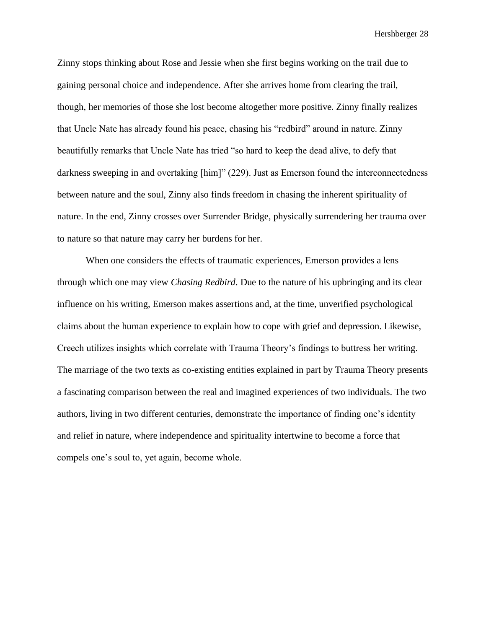Zinny stops thinking about Rose and Jessie when she first begins working on the trail due to gaining personal choice and independence. After she arrives home from clearing the trail, though, her memories of those she lost become altogether more positive. Zinny finally realizes that Uncle Nate has already found his peace, chasing his "redbird" around in nature. Zinny beautifully remarks that Uncle Nate has tried "so hard to keep the dead alive, to defy that darkness sweeping in and overtaking [him]" (229). Just as Emerson found the interconnectedness between nature and the soul, Zinny also finds freedom in chasing the inherent spirituality of nature. In the end, Zinny crosses over Surrender Bridge, physically surrendering her trauma over to nature so that nature may carry her burdens for her.

When one considers the effects of traumatic experiences, Emerson provides a lens through which one may view *Chasing Redbird*. Due to the nature of his upbringing and its clear influence on his writing, Emerson makes assertions and, at the time, unverified psychological claims about the human experience to explain how to cope with grief and depression. Likewise, Creech utilizes insights which correlate with Trauma Theory's findings to buttress her writing. The marriage of the two texts as co-existing entities explained in part by Trauma Theory presents a fascinating comparison between the real and imagined experiences of two individuals. The two authors, living in two different centuries, demonstrate the importance of finding one's identity and relief in nature, where independence and spirituality intertwine to become a force that compels one's soul to, yet again, become whole.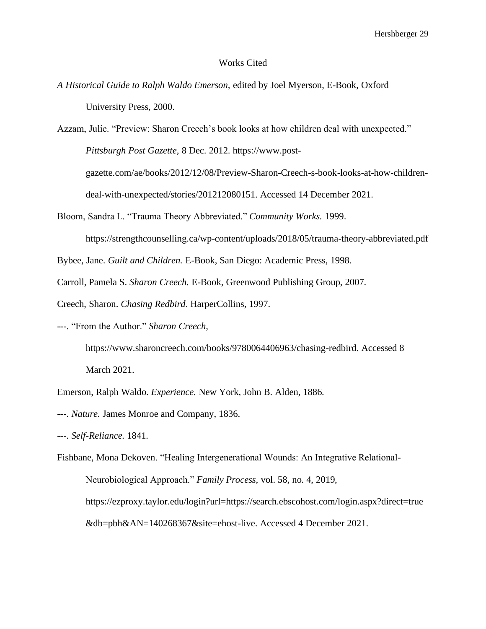#### Works Cited

*A Historical Guide to Ralph Waldo Emerson,* edited by Joel Myerson, E-Book, Oxford University Press, 2000.

Azzam, Julie. "Preview: Sharon Creech's book looks at how children deal with unexpected." *Pittsburgh Post Gazette,* 8 Dec. 2012. https://www.postgazette.com/ae/books/2012/12/08/Preview-Sharon-Creech-s-book-looks-at-how-childrendeal-with-unexpected/stories/201212080151. Accessed 14 December 2021.

Bloom, Sandra L. "Trauma Theory Abbreviated." *Community Works.* 1999.

https://strengthcounselling.ca/wp-content/uploads/2018/05/trauma-theory-abbreviated.pdf

- Bybee, Jane. *Guilt and Children.* E-Book, San Diego: Academic Press, 1998.
- Carroll, Pamela S. *Sharon Creech.* E-Book, Greenwood Publishing Group, 2007.

Creech, Sharon. *Chasing Redbird*. HarperCollins, 1997.

---. "From the Author." *Sharon Creech,* 

https://www.sharoncreech.com/books/9780064406963/chasing-redbird. Accessed 8 March 2021.

Emerson, Ralph Waldo. *Experience.* New York, John B. Alden, 1886.

---. *Nature.* James Monroe and Company, 1836.

---. *Self-Reliance.* 1841*.*

Fishbane, Mona Dekoven. "Healing Intergenerational Wounds: An Integrative Relational-Neurobiological Approach." *Family Process,* vol. 58, no. 4, 2019, https://ezproxy.taylor.edu/login?url=https://search.ebscohost.com/login.aspx?direct=true &db=pbh&AN=140268367&site=ehost-live. Accessed 4 December 2021.